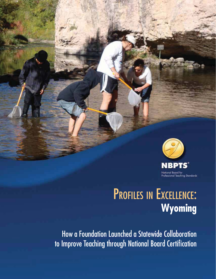

# PROFILES IN EXCELLENCE: **Wyoming**

How a Foundation Launched a Statewide Collaboration to Improve Teaching through National Board Certification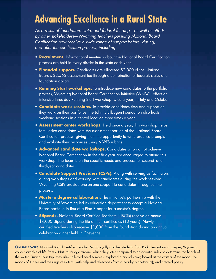# **Advancing Excellence in a Rural State**

As a result of foundation, state, and federal funding—as well as efforts by other stakeholders—Wyoming teachers pursuing National Board Certification now receive a wide range of support before, during, and after the certification process, including:

- **Recruitment.** Informational meetings about the National Board Certification process are held in every district in the state each year.
- **Financial support.** Candidates are allocated \$2,000 of the National Board's \$2,565 assessment fee through a combination of federal, state, and foundation dollars.
- **Running Start workshops.** To introduce new candidates to the portfolio process, Wyoming National Board Certification Initiative (WNBCI) offers an intensive three-day Running Start workshop twice a year, in July and October.
- **Candidate work sessions.** To provide candidates time and support as they work on their portfolios, the John P. Ellbogen Foundation also hosts weekend sessions in a central location three times a year.
- **Assessment center workshops.** Held once a year, this workshop helps familiarize candidates with the assessment portion of the National Board Certification process, giving them the opportunity to write practice prompts and evaluate their responses using NBPTS rubrics.
- **Advanced candidate workshops.** Candidates who do not achieve National Board Certification in their first year are encouraged to attend this workshop. The focus is on the specific needs and process for second- and third-year candidates.
- **Candidate Support Providers (CSPs).** Along with serving as facilitators during workshops and working with candidates during the work sessions, Wyoming CSPs provide one-on-one support to candidates throughout the process.
- **Master's degree collaboration.** The initiative's partnership with the University of Wyoming led its education department to accept a National Board portfolio in lieu of a Plan B paper for a master's degree.
- **Stipends.** National Board Certified Teachers (NBCTs) receive an annual \$4,000 stipend during the life of their certificates (10 years). Newly certified teachers also receive \$1,000 from the foundation during an annual celebration dinner held in Cheyenne.

**ON THE COVER:** National Board Certified Teacher Maggie Jolly and her students from Park Elementary in Casper, Wyoming, collect samples of life from a Natural Bridge stream, which they later compared to an aquatic index to determine the health of the water. During their trip, they also collected seed samples; explored a crystal cave; looked at the craters of the moon, the moons of Jupiter and the rings of Saturn (with help and telescopes from a nearby planetarium); and created poetry.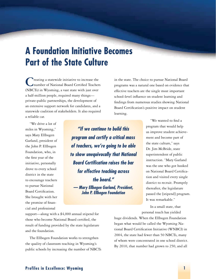# **A Foundation Initiative Becomes Part of the State Culture**

**Treating a statewide initiative to increase the** number of National Board Certified Teachers (NBCTs) in Wyoming, a vast state with just over a half-million people, required many things private-public partnerships, the development of an extensive support network for candidates, and a statewide coalition of stakeholders. It also required a reliable car.

in the state. The choice to pursue National Board programs was a natural one based on evidence that effective teachers are the single most important school-level influence on student learning and findings from numerous studies showing National Board Certification's positive impact on student learning.

"We drive a lot of miles in Wyoming," says Mary Ellbogen Garland, president of the John P. Ellbogen Foundation, who, in the first year of the initiative, personally drove to every school district in the state to encourage teachers to pursue National Board Certification. She brought with her the promise of financial and professional

*"If we continue to build this program and certify a critical mass of teachers, we're going to be able to show unequivocally that National Board Certification raises the bar for effective teaching across the board." — Mary Ellbogen Garland, President, John P. Ellbogen Foundation*

"We wanted to find a program that would help us improve student achievement and become part of the state culture," says Dr. Jim McBride, state superintendent of public instruction. "Mary Garland was the one who got hooked on National Board Certification and visited every single district to recruit. Promptly thereafter, the legislature passed the [stipend] program. It was remarkable."

In a small state, that personal touch has yielded

support—along with a \$4,000 annual stipend for those who become National Board certified, the result of funding provided by the state legislature and the foundation.

The Ellbogen Foundation works to strengthen the quality of classroom teaching in Wyoming's public schools by increasing the number of NBCTs huge dividends. When the Ellbogen Foundation began what would be called the Wyoming National Board Certification Initiative (WNBCI) in 2004, the state had fewer than 50 NBCTs, many of whom were concentrated in one school district. By 2010, that number had grown to 250, and all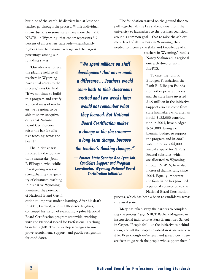but nine of the state's 48 districts had at least one teacher go through the process. While individual urban districts in some states have more than 250 NBCTs, in Wyoming, that cohort represents 3.7 percent of all teachers statewide—significantly higher than the national average and the largest

percentage among surrounding states.

"Our idea was to level the playing field so all teachers in Wyoming have equal access to the process," says Garland. "If we continue to build this program and certify a critical mass of teachers, we're going to be able to show unequivocally that National Board Certification raises the bar for effective teaching across the board."

The initiative was inspired by the foundation's namesake, John P. Ellbogen, who, while investigating ways of strengthening the quality of classroom teaching in his native Wyoming, identified the potential of National Board Certifi-

*"We spent millions on staff development that never made a difference….Teachers would come back to their classrooms excited and two weeks later would not remember what they learned. But National Board Certification makes a change in the classroom a long-term change, because the teacher's thinking changes."*

*— Former State Senator Rae Lynn Job, Candidate Support and Program Coordinator, Wyoming National Board Certification Initiative*

"The foundation started on the ground floor to pull together all the key stakeholders, from the university to lawmakers to the business coalition, around a common goal—that to raise the achievement level of all students in Wyoming, they needed to increase the skills and knowledge of all

> teachers in Wyoming," recalls Nancy Shakowski, a regional outreach director with NBPTS.

To date, the John P. Ellbogen Foundation, the Ruth R. Ellbogen Foundation, other private funders, and the state have invested \$1.9 million in the initiative. Support also has come from state lawmakers who, after an initial \$182,000 contribution in 2005, have pledged \$656,000 during each biennial budget to support the program and in 2007 voted into law a \$4,000 annual stipend for NBCTs. Federal subsidies, which are allocated to Wyoming through NBPTS, have also increased dramatically since 2004. Equally important, the foundation has provided a personal connection to the National Board Certification

process, which has been a boon to candidates across this rural state.

"Mary has taken away the barriers to completing the process," says NBCT Barbara Maguire, an instructional facilitator at Park Elementary School in Casper. "People feel like the initiative is behind them, and all the people involved in it are very visible. Even though we're rural and spread out, there are faces to go with the people who support them."

cation to improve student learning. After his death in 2001, Garland, who is Ellbogen's daughter, continued his vision of expanding a pilot National Board Certification program statewide, working with the National Board for Professional Teaching Standards (NBPTS) to develop strategies to improve recruitment, support, and public recognition for candidates.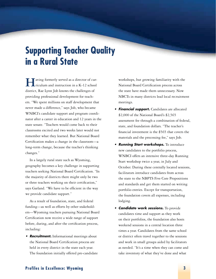# **Supporting Teacher Quality in a Rural State**

**Having formerly served as a director of cur-**<br>riculum and instruction in a K-12 school district, Rae Lynn Job knows the challenges of providing professional development for teachers. "We spent millions on staff development that never made a difference," says Job, who became WNBCI's candidate support and program coordinator after a career in education and 12 years in the state senate. "Teachers would come back to their classrooms excited and two weeks later would not remember what they learned. But National Board Certification makes a change in the classroom—a long-term change, because the teacher's thinking changes."

In a largely rural state such as Wyoming, geography becomes a key challenge in supporting teachers seeking National Board Certification. "In the majority of districts there might only be two or three teachers working on their certification," says Garland. "We have to be efficient in the way we provide candidate support."

As a result of foundation, state, and federal funding—as well as efforts by other stakeholders—Wyoming teachers pursuing National Board Certification now receive a wide range of support before, during, and after the certification process, including:

**• Recruitment.** Informational meetings about the National Board Certification process are held in every district in the state each year. The foundation initially offered pre-candidate workshops, but growing familiarity with the National Board Certification process across the state have made them unnecessary. Now NBCTs in many districts lead local recruitment meetings.

- **Financial support.** Candidates are allocated \$2,000 of the National Board's \$2,565 assessment fee through a combination of federal, state, and foundation dollars. "The teacher's financial investment is the \$565 that covers the materials and the processing fee," says Job.
- **Running Start workshops.** To introduce new candidates to the portfolio process, WNBCI offers an intensive three-day Running Start workshop twice a year, in July and October. During these centrally located sessions, facilitators introduce candidates from across the state to the NBPTS Five Core Propositions and standards and get them started on writing portfolio entries. Except for transportation, the foundation covers all expenses, including lodging.
- **Candidate work sessions.** To provide candidates time and support as they work on their portfolios, the foundation also hosts weekend sessions in a central location three times a year. Candidates from the same school or district often travel together to the sessions and work in small groups aided by facilitators as needed. "It's a time when they can come and take inventory of what they've done and what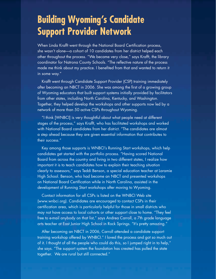# **Building Wyoming's Candidate Support Provider Network**

When Linda Krafft went through the National Board Certification process, she wasn't alone—a cohort of 10 candidates from her district helped each other throughout the process. "We became very close," says Krafft, the library coordinator for Natrona County Schools. "The reflective nature of the process made me think about my practice. I benefited from that and wanted to return it in some way."

Krafft went through Candidate Support Provider (CSP) training immediately after becoming an NBCT in 2006. She was among the first of a growing group of Wyoming educators that built support systems initially provided by facilitators from other states, including North Carolina, Kentucky, and Washington. Together, they helped develop the workshops and other supports now led by a network of more than 50 active CSPs throughout Wyoming.

"I think [WNBCI] is very thoughtful about what people need at different stages of the process," says Krafft, who has facilitated workshops and worked with National Board candidates from her district. "The candidates are almost a step ahead because they are given essential information that contributes to their success."

Key among those supports is WNBCI's Running Start workshops, which help candidates get started with the portfolio process. "Having scored National Board from across the country and living in two different states, I realize how important it is to teach candidates how to explain their teaching situation clearly to assessors," says Teddi Benson, a special education teacher at Laramie High School. Benson, who had become an NBCT and presented workshops on National Board Certification while in North Carolina, assisted in the development of Running Start workshops after moving to Wyoming.

Contact information for all CSPs is listed on the WNBCI Web site (www.wnbci.org). Candidates are encouraged to contact CSPs in their certification area, which is particularly helpful for those in small districts who may not have access to local cohorts or other support close to home. "They feel free to e-mail anybody on that list," says Andrea Carroll, a 7th grade language arts teacher at East Junior High School in Rock Springs. "It's pretty amazing."

After becoming an NBCT in 2006, Carroll attended a candidate support training workshop offered by WNBCI." I loved the process and got so much out of it. I thought of all the people who could do this, so I jumped right in to help," she says. "The support system the foundation has created has pulled the state together. We are rural but still connected."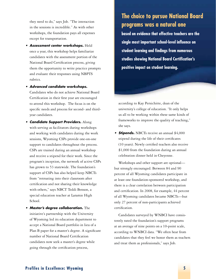they need to do," says Job. "The interaction in the sessions is incredible." As with other workshops, the foundation pays all expenses except for transportation.

- **Assessment center workshops. Held** once a year, this workshop helps familiarize candidates with the assessment portion of the National Board Certification process, giving them the opportunity to write practice prompts and evaluate their responses using NBPTS rubrics.
- **Advanced candidate workshops.** Candidates who do not achieve National Board Certification in their first year are encouraged to attend this workshop. The focus is on the specific needs and process for second- and thirdyear candidates.
- **Candidate Support Providers.** Along with serving as facilitators during workshops and working with candidates during the work sessions, Wyoming CSPs provide one-on-one support to candidates throughout the process. CSPs are trained during an annual workshop and receive a stipend for their work. Since the program's inception, the network of active CSPs has grown to 53 statewide. The foundation's support of CSPs has also helped keep NBCTs from "retreating into their classroom after certification and not sharing their knowledge with others," says NBCT Teddi Benson, a special education teacher at Laramie High School.
- **Master's degree collaboration.** The initiative's partnership with the University of Wyoming led its education department to accept a National Board portfolio in lieu of a Plan B paper for a master's degree. A significant number of National Board Certification candidates now seek a master's degree while going through the certification process,

### **The choice to pursue National Board programs was a natural one**

**based on evidence that effective teachers are the single most important school-level influence on student learning and findings from numerous studies showing National Board Certification's positive impact on student learning.** 

according to Kay Persichitte, dean of the university's college of education. "It only helps us all to be working within these same kinds of frameworks to improve the quality of teaching," she says.

**Stipends.** NBCTs receive an annual \$4,000 stipend during the life of their certificates (10 years). Newly certified teachers also receive \$1,000 from the foundation during an annual celebration dinner held in Cheyenne.

Workshops and other support are optional but strongly encouraged. Between 84 and 90 percent of all Wyoming candidates participate in at least one foundation-sponsored workshop, and there is a clear correlation between participation and certification. In 2008, for example, 44 percent of all Wyoming candidates became NBCTs—but only 27 percent of non-participants achieved certification.

Candidates surveyed by WNBCI have consistently rated the foundation's support programs at an average of nine points on a 10-point scale, according to WNBCI data. "We often hear from candidates that they feel we honor them as teachers and treat them as professionals," says Job.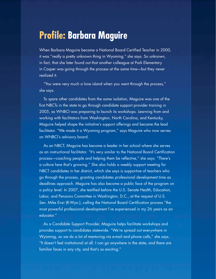# **Profile: Barbara Maguire**

When Barbara Maguire became a National Board Certified Teacher in 2000, it was "really a pretty unknown thing in Wyoming," she says. So unknown, in fact, that she later found out that another colleague at Park Elementary in Casper was going through the process at the same time—but they never realized it.

"You were very much a lone island when you went through the process," she says.

To spare other candidates from the same isolation, Maguire was one of the first NBCTs in the state to go through candidate support provider training in 2005, as WNBCI was preparing to launch its workshops. Learning from and working with facilitators from Washington, North Carolina, and Kentucky, Maguire helped shape the initiative's support offerings and became the lead facilitator. "We made it a Wyoming program," says Maguire who now serves on WNBCI's advisory board.

As an NBCT, Maguire has become a leader in her school where she serves as an instructional facilitator. "It's very similar to the National Board Certification process—coaching people and helping them be reflective," she says. "There's a culture here that's growing." She also holds a weekly support meeting for NBCT candidates in her district, which she says is supportive of teachers who go through the process, granting candidates professional development time as deadlines approach. Maguire has also become a public face of the program on a policy level. In 2007, she testified before the U.S. Senate Health, Education, Labor, and Pensions Committee in Washington, D.C., at the request of U.S. Sen. Mike Enzi (R-Wyo.), calling the National Board Certification process "the most powerful professional development I've experienced in my 26 years as an educator."

As a Candidate Support Provider, Maguire helps facilitate workshops and provides support to candidates statewide. "We're spread out everywhere in Wyoming, so we do a lot of mentoring via e-mail and phone calls," she says. "It doesn't feel institutional at all. I can go anywhere in the state, and there are familiar faces in any city, and that's so exciting."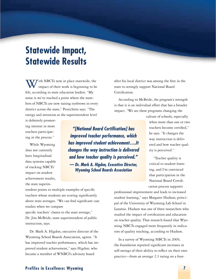# **Statewide Impact, Statewide Results**

 $\mathcal T$ ith NBCTs now in place statewide, the impact of their work is beginning to be felt, according to state education leaders. "My sense is we've reached a point where the numbers of NBCTs are now raising eyebrows in every district across the state," Persichitte says. "The energy and attention at the superintendent level

is definitely promoting interest in more teachers participating in the process."

While Wyoming does not currently have longitudinal data systems capable of tracking NBCTs' impact on student achievement results, the state superin-

*"[National Board Certification] has improved teacher performance, which has improved student achievement….It changes the way instruction is delivered and how teacher quality is perceived." — Dr. Mark A. Higdon, Executive Director, Wyoming School Boards Association*

after his local district was among the first in the state to strongly support National Board Certification.

According to McBride, the program's strength is that it is an individual effort that has a broader impact. "We see these programs changing the

> culture of schools, especially when more than one or two teachers become certified," he says. "It changes the way instruction is delivered and how teacher quality is perceived."

"Teacher quality is critical to student learning, and I'm convinced that participation in the National Board Certification process supports

tendent points to multiple examples of specific teachers whose students are scoring significantly above state averages. "We can find significant case studies when we compare

specific teachers' classes to the state average," Dr. Jim McBride, state superintendent of public instruction, says.

Dr. Mark A. Higdon, executive director of the Wyoming School Boards Association, agrees. "It has improved teacher performance, which has improved student achievement," says Higdon, who became a member of WNBCI's advisory board

professional improvement and leads to increased student learning," says Margaret Hudson, principal of the University of Wyoming Lab School in Laramie. Hudson was one of three researchers who studied the impact of certification and education on teacher quality. That research found that Wyoming NBCTs engaged more frequently in indicators of quality teaching, according to Hudson.

In a survey of Wyoming NBCTs in 2009, the foundation reported significant increases in self-ratings of their ability to reflect on their own practice—from an average 2.3 rating on a four-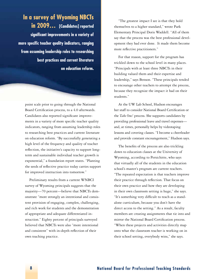**In a survey of Wyoming NBCTs in 2009… [Candidates] reported significant improvements in a variety of more specific teacher quality indicators, ranging from assuming leadership roles to researching best practices and current literature on education reform.** 

point scale prior to going through the National Board Certification process, to a 4.0 afterwards. Candidates also reported significant improvements in a variety of more specific teacher quality indicators, ranging from assuming leadership roles to researching best practices and current literature on education reform. "By successfully generating a high level of the frequency and quality of teacher reflection, the initiative's capacity to support longterm and sustainable individual teacher growth is exponential," a foundation report states. "Planting the seeds of reflective practice today carries support for improved instruction into tomorrow."

Preliminary results from a current WNBCI survey of Wyoming principals suggests that the majority—70 percent—believe that NBCTs demonstrate "more strongly an intentional and consistent provision of engaging, complex, challenging, and rich work for students and the demonstration of appropriate and adequate differentiated instruction." Eighty percent of principals surveyed believed that NBCTs were also "more intentional and consistent" with in-depth reflection of their own teaching practice.

"The greatest impact I see is that they hold themselves to a higher standard," wrote Park Elementary Principal Doris Waddell. "All of them say that the process was the best professional development they had ever done. It made them become more reflective practitioners."

For that reason, support for the program has trickled down to the school level in many places. "Principals with at least three NBCTs in their building valued them and their expertise and leadership," says Benson. "These principals tended to encourage other teachers to attempt the process, because they recognize the impact it had on their students."

At the UW Lab School, Hudson encourages her staff to consider National Board Certification or the *Take One!* process. She supports candidates by providing professional leave and travel expenses and, at times, personally helps by videotaping lessons and covering classes. "I become a cheerleader and provide constant encouragement," Hudson says.

The benefits of the process are also trickling down to education classes at the University of Wyoming, according to Persichitte, who says that virtually all of the students in the education school's master's program are current teachers. "The repeated expectation is that teachers improve their practice through reflection. That focus on their own practice and how they are developing in their own classroom setting is huge," she says. "It's something very difficult to teach as a standalone curriculum, because you don't have the direct access to the setting." As a result, faculty members are creating assignments that tie into and mirror the National Board Certification process. "When these projects and activities directly map onto what the classroom teacher is working on in their school setting, everybody wins," she says.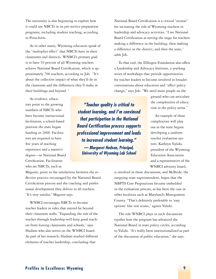The university is also beginning to explore how it could use NBCTs in its pre-service preparation programs, including student teaching, according to Persichitte.

As in other states, Wyoming educators speak of the "multiplier effect" that NBCTs have in their classrooms and districts. WNBCI's primary goal is to have 10 percent of all Wyoming teachers achieve National Board Certification, which is approximately 700 teachers, according to Job. "It's about the collective impact of what they'll do in the classroom and the differences they'll make in their buildings and beyond. "

As evidence, educators point to the growing numbers of NBCTs who have become instructional facilitators, a school-based position the state began funding in 2006. Facilitators are required to have five years of teaching experience and a master's degree—or National Board Certification. Facilitators who are NBCTs, such as

Maguire, point to the similarities between the reflective practice encouraged by the National Board Certification process and the coaching and professional development they deliver to all teachers. "It's very similar," Maguire says.

WNBCI encourages NBCTs to become teacher leaders in roles that extend far beyond their classroom walls. "Expanding the role of the teacher through leadership will keep good teachers from leaving classrooms and schools," says Hudson who also serves on the WNBCI board. As part of her research, Hudson studied different elements of teacher leadership, concluding that

National Board Certification is a critical "avenue" for increasing the role of Wyoming teachers in leadership and advocacy activities. "I see National Board Certification as setting the stage for teachers making a difference in the building, then making a difference in the district, and then the state," adds Job.

To that end, the Ellbogen Foundation also offers a Leadership and Advocacy Institute, a yearlong series of workshops that provide opportunities for teacher leaders to become involved in broader conversations about education and "effect policy change," says Job. "We need more people on the

> ground who can articulate the complexities of education in the policy arena."

An example of those complexities will play out as the state begins developing a uniform teacher evaluation system. Kathryn Valido, president of the Wyoming Education Association and a representative of the WNBCI advisory board,

is involved in those discussions, and McBride, the outgoing state superintendent, hopes that the NBPTS Core Propositions become embedded in the evaluation process, as has been the case in other localities such as Maryland's Montgomery County. "That's definitely preferable to 'easy options' like test scores," agrees Valido.

The role WNBCI plays in such discussions typifies how the program has advanced the National Board in state policy circles, according to Valido. "It's really been institutionalized as part of the discussion of public education," she says.

*"Teacher quality is critical to student learning, and I'm convinced that participation in the National Board Certification process supports professional improvement and leads to increased student learning." — Margaret Hudson, Principal, University of Wyoming Lab School*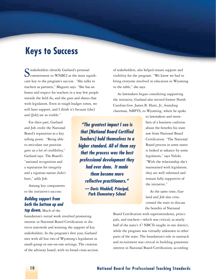## **Keys to Success**

Stakeholders identify Garland's personal<br>
commitment to WNBCI as the most significant key to the program's success. "She talks to teachers as partners," Maguire says. "She has an honor and respect for teachers in a way few people outside the field do, and she goes and shares that with legislators. Even in tough budget times, we still have support, and I think it's because [she] and [Job] are so visible."

For their part, Garland and Job credit the National Board's reputation as a key selling point. "Being able to articulate our position gave us a lot of credibility," Garland says. The Board's "national recognition and a reputation for integrity and a rigorous nature didn't hurt," adds Job.

Among key components to the initiative's success:

#### *Building support from both the bottom up and top down.* Much of the

foundation's initial work involved promoting interest in National Board Certification in districts statewide and winning the support of key stakeholders. In the program's first year, Garland met with all but two of Wyoming's legislators in small-group or one-on-one settings. The creation of the advisory board, with its broad cross-section

*"The greatest impact I see is that [National Board Certified Teachers] hold themselves to a higher standard. All of them say that the process was the best professional development they had ever done. It made them become more reflective practitioners." — Doris Waddell, Principal, Park Elementary School*

of stakeholders, also helped ensure support and visibility for the program. "We knew we had to bring everyone involved in education in Wyoming to the table," she says.

As lawmakers began considering supporting the initiative, Garland also invited former North Carolina Gov. James B. Hunt, Jr., founding chairman, NBPTS, to Wyoming, where he spoke

> to lawmakers and members of a business coalition about the benefits his state saw from National Board Certification. "The National Board process in some states is looked at askance by some legislators," says Valido. "With the relationship she's maintained with legislators, they are well informed and remain fully supportive of the initiative."

At the same time, Garland and Job also crisscrossed the state to discuss the benefits of National

Board Certification with superintendents, principals, and teachers—which was critical, as nearly half of the state's 47 NBCTs taught in one district, while the program was virtually unknown in other parts of the state. The foundation's role in outreach and recruitment was critical in building grassroots interest in National Board Certification, according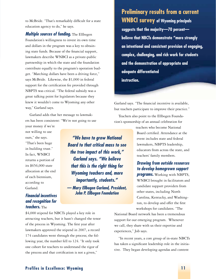to McBride. "That's remarkably difficult for a state education agency to do," he says.

*Multiple sources of funding. The Ellbogen* Foundation's willingness to invest its own time and dollars in the program was a key to obtaining state funds. Because of the financial support, lawmakers describe WNBCI as a private-public partnership in which the state and the foundation contribute equally to the program's operation budget. "Matching dollars have been a driving force," says McBride. Likewise, the \$1,000 in federal support for the certification fee provided through NBPTS was critical. "The federal subsidy was a great talking point for legislators because they knew it wouldn't come to Wyoming any other way," Garland says.

Garland adds that her message to lawmakers has been consistent: "We're not going to use

your money if we're not willing to use ours," she says. "That's been huge in building trust." In fact, WNBCI returns a portion of its \$656,000 state allocation at the end of each biennium, according to Garland.

#### *Financial incentives and recognition for teachers.* The

*"We have to grow National Board to that critical mass to see the true impact of this work," Garland says. "We believe that this is the right thing for Wyoming teachers and, more importantly, students." — Mary Ellbogen Garland, President, John P. Ellbogen Foundation*

**Preliminary results from a current WNBCI survey of Wyoming principals suggests that the majority—70 percent believe that NBCTs demonstrate "more strongly an intentional and consistent provision of engaging, complex, challenging, and rich work for students and the demonstration of appropriate and adequate differentiated instruction.**

Garland says. "The financial incentive is available, but teachers participate to improve their practice."

Teachers also point to the Ellbogen Foundation's sponsorship of an annual celebration for

> teachers who become National Board certified. Attendance at the event includes state and federal lawmakers, NBPTS leadership, educators from across the state, and teachers' family members.

#### *Drawing from outside resources to develop homegrown support*

*programs.* Working with NBPTS, WNBCI brought in facilitators and candidate support providers from other states, including North Carolina, Kentucky, and Washington, to develop and offer the first workshops for candidates. "The

\$4,000 stipend for NBCTs played a key role in attracting teachers, but it hasn't changed the tenor of the process in Wyoming. The first year after lawmakers approved the stipend in 2007, a record 174 candidates went through the process; the following year, the number fell to 124. "It only took one cohort for teachers to understand the rigor of the process and that certification is not a given,"

National Board network has been a tremendous support for our emerging program. Whenever we call, they share with us their expertise and experiences," Job says.

"In recent years, a core group of in-state NBCTs has taken a significant leadership role in the initiative. They began developing agendas and content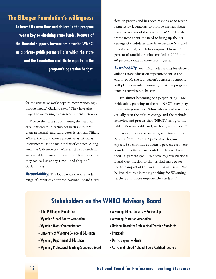### **The Ellbogen Foundation's willingness**

**to invest its own time and dollars in the program was a key to obtaining state funds. Because of the financial support, lawmakers describe WNBCI as a private-public partnership in which the state and the foundation contribute equally to the program's operation budget.**

> for the initiative workshops to meet Wyoming's unique needs," Garland says. "They have also played an increasing role in recruitment statewide."

Due to the state's rural nature, the need for excellent communication between CSPs, program personnel, and candidates is critical. Tiffany White, the foundation's executive assistant, is instrumental as the main point of contact. Along with the CSP network, White, Job, and Garland are available to answer questions. "Teachers know they can call us at any time—and they do," Garland says.

*Accountability.* The foundation tracks a wide range of statistics about the National Board Certification process and has been responsive to recent requests by lawmakers to provide metrics about the effectiveness of the program. WNBCI is also transparent about the need to bring up the percentage of candidates who have become National Board certified, which has improved from 17 percent of candidates who certified in 2006 to the 40 percent range in more recent years.

**Sustainability.** With McBride leaving his elected office as state education superintendent at the end of 2010, the foundation's consistent support will play a key role in ensuring that the program remains sustainable, he says.

"It's almost becoming self-perpetuating," Mc-Bride adds, pointing to the role NBCTs now play in recruiting sessions. "Most who attend now have actually seen the culture change and the attitude, behavior, and process that [NBCTs] bring to the table. It's remarkable and, we hope, sustainable."

Having grown the percentage of Wyoming's NBCTs from 0.5 to 3.7 percent with growth expected to continue at about 1 percent each year, foundation officials are confident they will reach their 10 percent goal. "We have to grow National Board Certification to that critical mass to see the true impact of this work," Garland says. "We believe that this is the right thing for Wyoming teachers and, more importantly, students."

### **Stakeholders on the WNBCI Advisory Board**

- John P. Ellbogen Foundation
- Wyoming School Boards Association
- Wyoming Qwest Communications
- University of Wyoming College of Education
- Wyoming Department of Education
- . Wyoming Professional Teaching Standards Board
- Wyoming School-University Partnership
- Wyoming Education Association
- National Board for Professioinal Teaching Standards
- Principals
- District superintendents
- Active and retired National Board Certified Teachers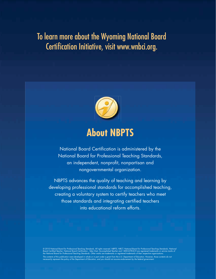# To learn more about the Wyoming National Board Certification Initiative, visit www.wnbci.org.



# **About NBPTS**

National Board Certification is administered by the National Board for Professional Teaching Standards, an independent, nonprofit, nonpartisan and nongovernmental organization.

NBPTS advances the quality of teaching and learning by developing professional standards for accomplished teaching, creating a voluntary system to certify teachers who meet those standards and integrating certified teachers into educational reform efforts.

© 2010 National Board for Professional Teaching Standards. All rights reserved. NBPTS, NBCT, National Board for Professional Teaching Standards, National<br>Board Certified Teacher, National Board Certification , Take Onel, A The contents of this publication were developed in whole or in part under a grant from the U.S. Department of Education. However, those contents do not<br>necessarily represent the policy of the Department of Education, and y